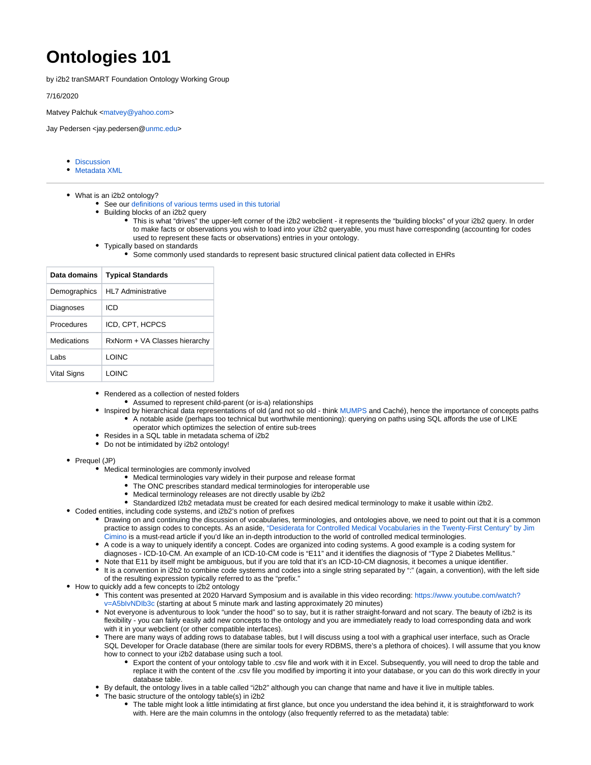## **Ontologies 101**

by i2b2 tranSMART Foundation Ontology Working Group

7/16/2020

Matvey Palchuk [<matvey@yahoo.com>](mailto:matvey@yahoo.com)

Jay Pedersen <jay.pedersen@[unmc.edu>](http://unmc.edu)

- [Discussion](https://community.i2b2.org/wiki/display/IWG/Discussion)
- [Metadata XML](https://community.i2b2.org/wiki/display/IWG/Metadata+XML)
- What is an i2b2 ontology?
	- See our [definitions of various terms used in this tutorial](https://community.i2b2.org/wiki/display/IWG/Discussion)
	- Building blocks of an i2b2 query
		- This is what "drives" the upper-left corner of the i2b2 webclient it represents the "building blocks" of your i2b2 query. In order to make facts or observations you wish to load into your i2b2 queryable, you must have corresponding (accounting for codes used to represent these facts or observations) entries in your ontology.
	- Typically based on standards
		- Some commonly used standards to represent basic structured clinical patient data collected in EHRs

| Data domains | <b>Typical Standards</b>      |
|--------------|-------------------------------|
| Demographics | HI 7 Administrative           |
| Diagnoses    | ICD                           |
| Procedures   | ICD, CPT, HCPCS               |
| Medications  | RxNorm + VA Classes hierarchy |
| I abs        | I OINC                        |
| Vital Signs  | I OINC                        |

- Rendered as a collection of nested folders
	- Assumed to represent child-parent (or is-a) relationships
	- Inspired by hierarchical data representations of old (and not so old think [MUMPS](https://en.wikipedia.org/wiki/MUMPS) and Caché), hence the importance of concepts paths A notable aside (perhaps too technical but worthwhile mentioning): querying on paths using SQL affords the use of LIKE operator which optimizes the selection of entire sub-trees
- Resides in a SQL table in metadata schema of i2b2
- Do not be intimidated by i2b2 ontology!
- Prequel (JP)
	- Medical terminologies are commonly involved
		- Medical terminologies vary widely in their purpose and release format
		- The ONC prescribes standard medical terminologies for interoperable use
		- Medical terminology releases are not directly usable by i2b2
		- Standardized I2b2 metadata must be created for each desired medical terminology to make it usable within i2b2.
- Coded entities, including code systems, and i2b2's notion of prefixes
	- Drawing on and continuing the discussion of vocabularies, terminologies, and ontologies above, we need to point out that it is a common practice to assign codes to concepts. As an aside, ["Desiderata for Controlled Medical Vocabularies in the Twenty-First Century" by Jim](https://dx.doi.org/10.1055/s-0038-1634558)  [Cimino](https://dx.doi.org/10.1055/s-0038-1634558) is a must-read article if you'd like an in-depth introduction to the world of controlled medical terminologies.
		- A code is a way to uniquely identify a concept. Codes are organized into coding systems. A good example is a coding system for diagnoses - ICD-10-CM. An example of an ICD-10-CM code is "E11" and it identifies the diagnosis of "Type 2 Diabetes Mellitus."
		- Note that E11 by itself might be ambiguous, but if you are told that it's an ICD-10-CM diagnosis, it becomes a unique identifier.
		- It is a convention in i2b2 to combine code systems and codes into a single string separated by ":" (again, a convention), with the left side of the resulting expression typically referred to as the "prefix."
- How to quickly add a few concepts to i2b2 ontology
	- This content was presented at 2020 Harvard Symposium and is available in this video recording: [https://www.youtube.com/watch?](https://www.youtube.com/watch?v=A5bIvNDIb3c) [v=A5bIvNDIb3c](https://www.youtube.com/watch?v=A5bIvNDIb3c) (starting at about 5 minute mark and lasting approximately 20 minutes)
	- Not everyone is adventurous to look "under the hood" so to say, but it is rather straight-forward and not scary. The beauty of i2b2 is its flexibility - you can fairly easily add new concepts to the ontology and you are immediately ready to load corresponding data and work with it in your webclient (or other compatible interfaces).
	- There are many ways of adding rows to database tables, but I will discuss using a tool with a graphical user interface, such as Oracle SQL Developer for Oracle database (there are similar tools for every RDBMS, there's a plethora of choices). I will assume that you know how to connect to your i2b2 database using such a tool.
		- Export the content of your ontology table to .csv file and work with it in Excel. Subsequently, you will need to drop the table and replace it with the content of the .csv file you modified by importing it into your database, or you can do this work directly in your database table.
	- By default, the ontology lives in a table called "i2b2" although you can change that name and have it live in multiple tables.
	- The basic structure of the ontology table(s) in i2b2
		- The table might look a little intimidating at first glance, but once you understand the idea behind it, it is straightforward to work with. Here are the main columns in the ontology (also frequently referred to as the metadata) table: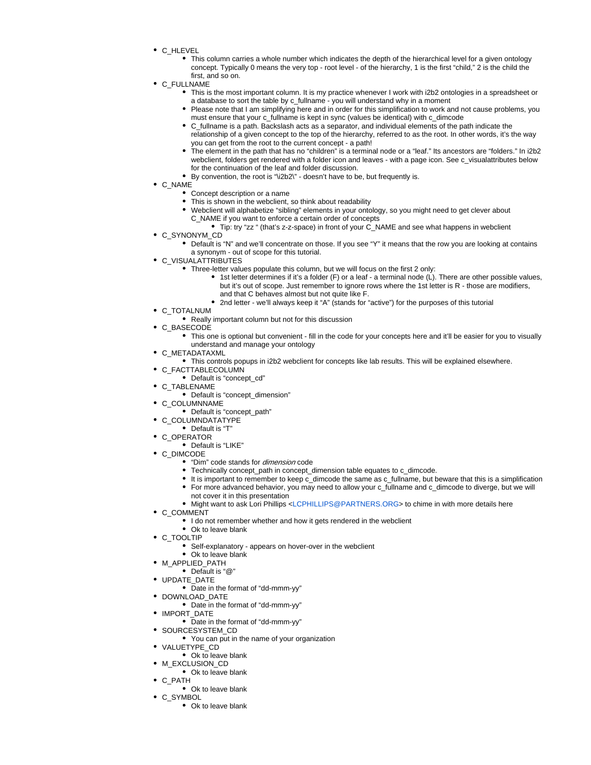- C HLEVEL
	- This column carries a whole number which indicates the depth of the hierarchical level for a given ontology concept. Typically 0 means the very top - root level - of the hierarchy, 1 is the first "child," 2 is the child the first, and so on.
- C\_FULLNAME
	- This is the most important column. It is my practice whenever I work with i2b2 ontologies in a spreadsheet or a database to sort the table by c\_fullname - you will understand why in a moment
	- Please note that I am simplifying here and in order for this simplification to work and not cause problems, you must ensure that your c\_fullname is kept in sync (values be identical) with c\_dimcode
	- C\_fullname is a path. Backslash acts as a separator, and individual elements of the path indicate the relationship of a given concept to the top of the hierarchy, referred to as the root. In other words, it's the way you can get from the root to the current concept - a path!
	- The element in the path that has no "children" is a terminal node or a "leaf." Its ancestors are "folders." In i2b2 webclient, folders get rendered with a folder icon and leaves - with a page icon. See c\_visualattributes below for the continuation of the leaf and folder discussion.
	- By convention, the root is "\i2b2\" doesn't have to be, but frequently is.
- C\_NAME
	- Concept description or a name
	- This is shown in the webclient, so think about readability
	- Webclient will alphabetize "sibling" elements in your ontology, so you might need to get clever about C\_NAME if you want to enforce a certain order of concepts
		- Tip: try "zz " (that's z-z-space) in front of your C\_NAME and see what happens in webclient
- C SYNONYM CD
	- Default is "N" and we'll concentrate on those. If you see "Y" it means that the row you are looking at contains a synonym - out of scope for this tutorial.
- C VISUALATTRIBUTES
	- Three-letter values populate this column, but we will focus on the first 2 only:
		- $\bullet$  1st letter determines if it's a folder (F) or a leaf a terminal node (L). There are other possible values, but it's out of scope. Just remember to ignore rows where the 1st letter is R - those are modifiers, and that C behaves almost but not quite like F.
		- 2nd letter we'll always keep it "A" (stands for "active") for the purposes of this tutorial
- C\_TOTALNUM
	- Really important column but not for this discussion
- C BASECODE
	- This one is optional but convenient fill in the code for your concepts here and it'll be easier for you to visually understand and manage your ontology
- C METADATAXML
	- This controls popups in i2b2 webclient for concepts like lab results. This will be explained elsewhere.
- C\_FACTTABLECOLUMN  $\bullet$
- Default is "concept\_cd"
- C TABLENAME
	- Default is "concept\_dimension"
- C COLUMNNAME
- Default is "concept\_path"
- C\_COLUMNDATATYPE
- Default is "T"
- C\_OPERATOR
- Default is "LIKE"
- C\_DIMCODE
	- "Dim" code stands for *dimension* code
	- Technically concept\_path in concept\_dimension table equates to c\_dimcode.
	- It is important to remember to keep c\_dimcode the same as c\_fullname, but beware that this is a simplification
	- For more advanced behavior, you may need to allow your c\_fullname and c\_dimcode to diverge, but we will
	- not cover it in this presentation
	- Might want to ask Lori Phillips [<LCPHILLIPS@PARTNERS.ORG](mailto:LCPHILLIPS@PARTNERS.ORG)> to chime in with more details here
- C COMMENT
	- I do not remember whether and how it gets rendered in the webclient
	- Ok to leave blank
- C\_TOOLTIP
	- Self-explanatory appears on hover-over in the webclient
	- Ok to leave blank
- M\_APPLIED\_PATH
- Default is "@"
- UPDATE\_DATE
- Date in the format of "dd-mmm-yy"
- DOWNLOAD DATE
- Date in the format of "dd-mmm-yy"
- IMPORT\_DATE
	- Date in the format of "dd-mmm-yy"
- SOURCESYSTEM CD
- You can put in the name of your organization
- VALUETYPE\_CD
- Ok to leave blank
- M\_EXCLUSION\_CD
	- Ok to leave blank
- C\_PATH
- Ok to leave blank
- C\_SYMBOL
	- Ok to leave blank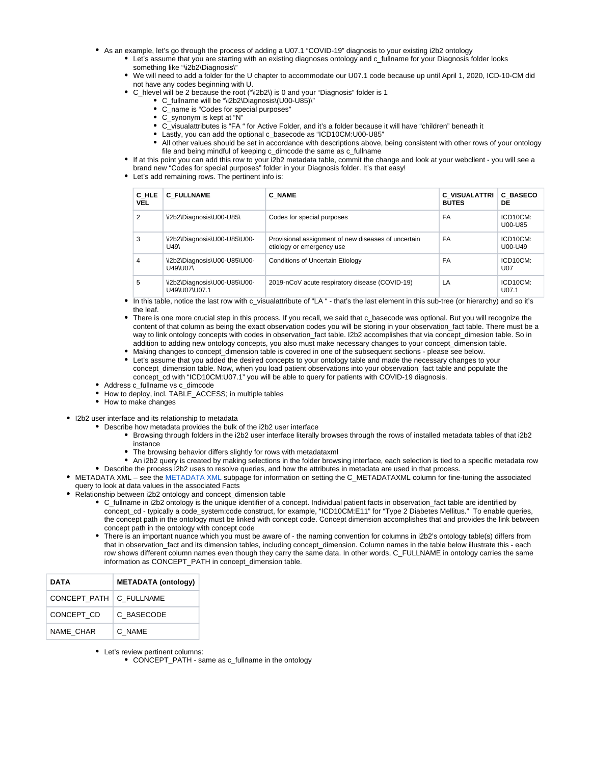- As an example, let's go through the process of adding a U07.1 "COVID-19" diagnosis to your existing i2b2 ontology
	- Let's assume that you are starting with an existing diagnoses ontology and c\_fullname for your Diagnosis folder looks something like "\i2b2\Diagnosis\"
	- We will need to add a folder for the U chapter to accommodate our U07.1 code because up until April 1, 2020, ICD-10-CM did not have any codes beginning with U.
	- C hlevel will be 2 because the root ("\i2b2\) is 0 and your "Diagnosis" folder is 1
		- C\_fullname will be "\i2b2\Diagnosis\(U00-U85)\"
		- C\_name is "Codes for special purposes"
		- C\_synonym is kept at "N"
		- C\_visualattributes is "FA " for Active Folder, and it's a folder because it will have "children" beneath it
		- Lastly, you can add the optional c\_basecode as "ICD10CM:U00-U85"
		- All other values should be set in accordance with descriptions above, being consistent with other rows of your ontology  $\bullet$ file and being mindful of keeping c\_dimcode the same as c\_fullname
	- If at this point you can add this row to your i2b2 metadata table, commit the change and look at your webclient you will see a brand new "Codes for special purposes" folder in your Diagnosis folder. It's that easy!
	- Let's add remaining rows. The pertinent info is:

| C HLE<br><b>VEL</b> | <b>C FULLNAME</b>                             | <b>C NAME</b>                                                                    | <b>C VISUALATTRI</b><br><b>BUTES</b> | <b>C BASECO</b><br>DE  |
|---------------------|-----------------------------------------------|----------------------------------------------------------------------------------|--------------------------------------|------------------------|
| $\overline{2}$      | \i2b2\Diagnosis\U00-U85\                      | Codes for special purposes                                                       | FA                                   | ICD10CM:<br>U00-U85    |
| 3                   | \i2b2\Diagnosis\U00-U85\U00-<br>U49\          | Provisional assignment of new diseases of uncertain<br>etiology or emergency use | FA                                   | ICD10CM:<br>U00-U49    |
| 4                   | \i2b2\Diagnosis\U00-U85\U00-<br>U49\U07\      | <b>Conditions of Uncertain Etiology</b>                                          | FA                                   | ICD10CM:<br><b>U07</b> |
| 5                   | \i2b2\Diagnosis\U00-U85\U00-<br>U49\U07\U07.1 | 2019-nCoV acute respiratory disease (COVID-19)                                   | LA                                   | ICD10CM:<br>U07.1      |

- In this table, notice the last row with c\_visualattribute of "LA " that's the last element in this sub-tree (or hierarchy) and so it's the leaf.
- There is one more crucial step in this process. If you recall, we said that c\_basecode was optional. But you will recognize the content of that column as being the exact observation codes you will be storing in your observation fact table. There must be a way to link ontology concepts with codes in observation\_fact table. I2b2 accomplishes that via concept\_dimesion table. So in addition to adding new ontology concepts, you also must make necessary changes to your concept\_dimension table.
- Making changes to concept\_dimension table is covered in one of the subsequent sections please see below.
- Let's assume that you added the desired concepts to your ontology table and made the necessary changes to your concept\_dimension table. Now, when you load patient observations into your observation\_fact table and populate the concept\_cd with "ICD10CM:U07.1" you will be able to query for patients with COVID-19 diagnosis.
- Address c\_fullname vs c\_dimcode
- How to deploy, incl. TABLE\_ACCESS; in multiple tables
- How to make changes
- I2b2 user interface and its relationship to metadata
	- Describe how metadata provides the bulk of the i2b2 user interface
		- Browsing through folders in the i2b2 user interface literally browses through the rows of installed metadata tables of that i2b2 instance
		- The browsing behavior differs slightly for rows with metadataxml
		- An i2b2 query is created by making selections in the folder browsing interface, each selection is tied to a specific metadata row
	- Describe the process i2b2 uses to resolve queries, and how the attributes in metadata are used in that process.
- METADATA XML see the [METADATA XML](https://community.i2b2.org/wiki/display/IWG/Metadata+XML) subpage for information on setting the C\_METADATAXML column for fine-tuning the associated query to look at data values in the associated Facts
- Relationship between i2b2 ontology and concept\_dimension table
	- C\_fullname in i2b2 ontology is the unique identifier of a concept. Individual patient facts in observation fact table are identified by concept\_cd - typically a code\_system:code construct, for example, "ICD10CM:E11" for "Type 2 Diabetes Mellitus." To enable queries, the concept path in the ontology must be linked with concept code. Concept dimension accomplishes that and provides the link between concept path in the ontology with concept code
	- There is an important nuance which you must be aware of the naming convention for columns in i2b2's ontology table(s) differs from that in observation\_fact and its dimension tables, including concept\_dimension. Column names in the table below illustrate this - each row shows different column names even though they carry the same data. In other words, C\_FULLNAME in ontology carries the same information as CONCEPT\_PATH in concept\_dimension table.

| DATA                      | <b>METADATA (ontology)</b> |
|---------------------------|----------------------------|
| CONCEPT PATH   C FULLNAME |                            |
| CONCEPT CD                | C BASECODE                 |
| <b>NAME CHAR</b>          | C NAME                     |

• Let's review pertinent columns:

• CONCEPT\_PATH - same as c\_fullname in the ontology